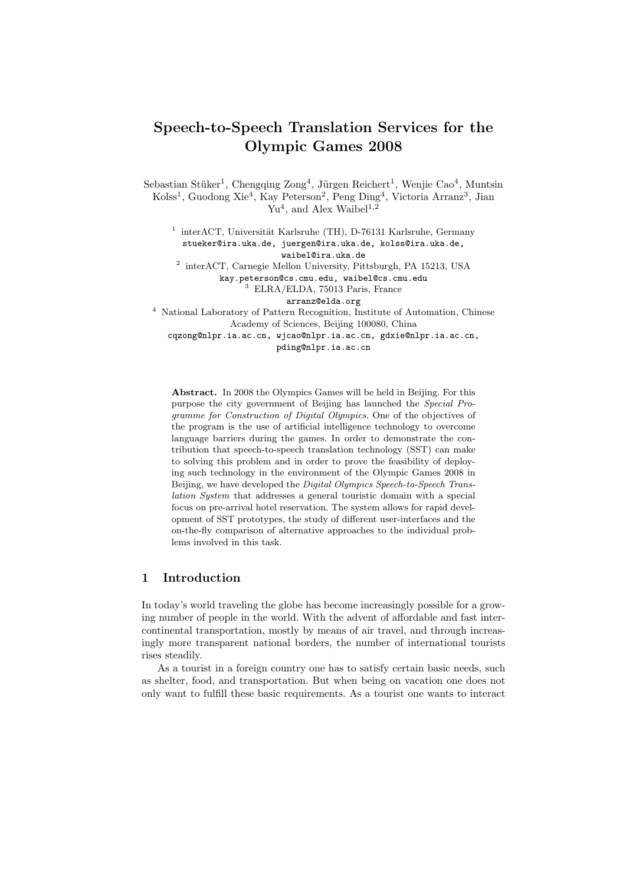# Speech-to-Speech Translation Services for the Olympic Games 2008

Sebastian Stüker<sup>1</sup>, Chengqing Zong<sup>4</sup>, Jürgen Reichert<sup>1</sup>, Wenjie Cao<sup>4</sup>, Muntsin Kolss<sup>1</sup>, Guodong Xie<sup>4</sup>, Kay Peterson<sup>2</sup>, Peng Ding<sup>4</sup>, Victoria Arranz<sup>3</sup>, Jian  $Yu<sup>4</sup>$ , and Alex Waibel<sup>1,2</sup>

<sup>1</sup> interACT, Universität Karlsruhe (TH), D-76131 Karlsruhe, Germany stueker@ira.uka.de, juergen@ira.uka.de, kolss@ira.uka.de, waibel@ira.uka.de 2 interACT, Carnegie Mellon University, Pittsburgh, PA 15213, USA kay.peterson@cs.cmu.edu, waibel@cs.cmu.edu <sup>3</sup> ELRA/ELDA, 75013 Paris, France arranz@elda.org <sup>4</sup> National Laboratory of Pattern Recognition, Institute of Automation, Chinese Academy of Sciences, Beijing 100080, China cqzong@nlpr.ia.ac.cn, wjcao@nlpr.ia.ac.cn, gdxie@nlpr.ia.ac.cn,

pding@nlpr.ia.ac.cn

Abstract. In 2008 the Olympics Games will be held in Beijing. For this purpose the city government of Beijing has launched the Special Programme for Construction of Digital Olympics. One of the objectives of the program is the use of artificial intelligence technology to overcome language barriers during the games. In order to demonstrate the contribution that speech-to-speech translation technology (SST) can make to solving this problem and in order to prove the feasibility of deploying such technology in the environment of the Olympic Games 2008 in Beijing, we have developed the Digital Olympics Speech-to-Speech Translation System that addresses a general touristic domain with a special focus on pre-arrival hotel reservation. The system allows for rapid development of SST prototypes, the study of different user-interfaces and the on-the-fly comparison of alternative approaches to the individual problems involved in this task.

## 1 Introduction

In today's world traveling the globe has become increasingly possible for a growing number of people in the world. With the advent of affordable and fast intercontinental transportation, mostly by means of air travel, and through increasingly more transparent national borders, the number of international tourists rises steadily.

As a tourist in a foreign country one has to satisfy certain basic needs, such as shelter, food, and transportation. But when being on vacation one does not only want to fulfill these basic requirements. As a tourist one wants to interact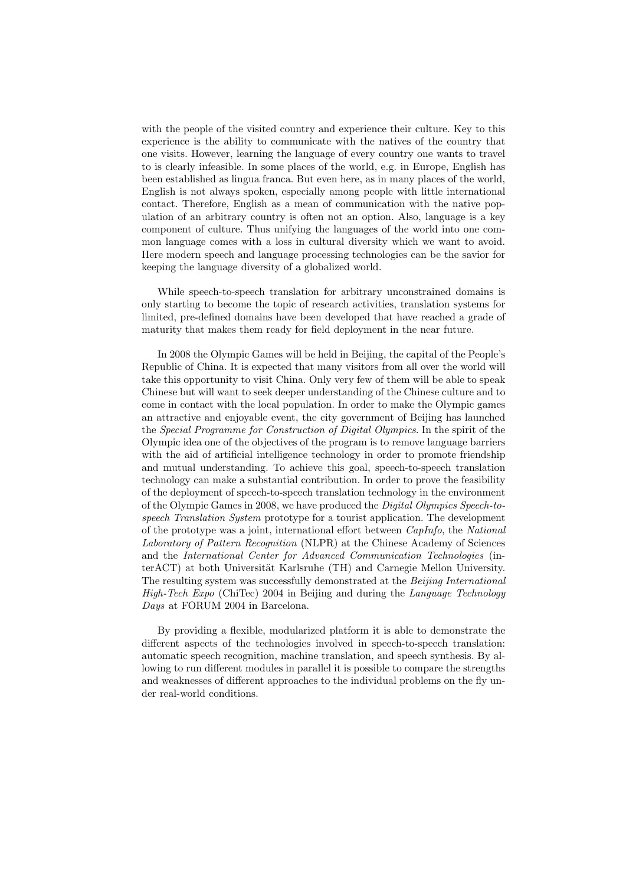with the people of the visited country and experience their culture. Key to this experience is the ability to communicate with the natives of the country that one visits. However, learning the language of every country one wants to travel to is clearly infeasible. In some places of the world, e.g. in Europe, English has been established as lingua franca. But even here, as in many places of the world, English is not always spoken, especially among people with little international contact. Therefore, English as a mean of communication with the native population of an arbitrary country is often not an option. Also, language is a key component of culture. Thus unifying the languages of the world into one common language comes with a loss in cultural diversity which we want to avoid. Here modern speech and language processing technologies can be the savior for keeping the language diversity of a globalized world.

While speech-to-speech translation for arbitrary unconstrained domains is only starting to become the topic of research activities, translation systems for limited, pre-defined domains have been developed that have reached a grade of maturity that makes them ready for field deployment in the near future.

In 2008 the Olympic Games will be held in Beijing, the capital of the People's Republic of China. It is expected that many visitors from all over the world will take this opportunity to visit China. Only very few of them will be able to speak Chinese but will want to seek deeper understanding of the Chinese culture and to come in contact with the local population. In order to make the Olympic games an attractive and enjoyable event, the city government of Beijing has launched the Special Programme for Construction of Digital Olympics. In the spirit of the Olympic idea one of the objectives of the program is to remove language barriers with the aid of artificial intelligence technology in order to promote friendship and mutual understanding. To achieve this goal, speech-to-speech translation technology can make a substantial contribution. In order to prove the feasibility of the deployment of speech-to-speech translation technology in the environment of the Olympic Games in 2008, we have produced the Digital Olympics Speech-tospeech Translation System prototype for a tourist application. The development of the prototype was a joint, international effort between CapInfo, the National Laboratory of Pattern Recognition (NLPR) at the Chinese Academy of Sciences and the International Center for Advanced Communication Technologies (interACT) at both Universität Karlsruhe (TH) and Carnegie Mellon University. The resulting system was successfully demonstrated at the Beijing International High-Tech Expo (ChiTec) 2004 in Beijing and during the Language Technology Days at FORUM 2004 in Barcelona.

By providing a flexible, modularized platform it is able to demonstrate the different aspects of the technologies involved in speech-to-speech translation: automatic speech recognition, machine translation, and speech synthesis. By allowing to run different modules in parallel it is possible to compare the strengths and weaknesses of different approaches to the individual problems on the fly under real-world conditions.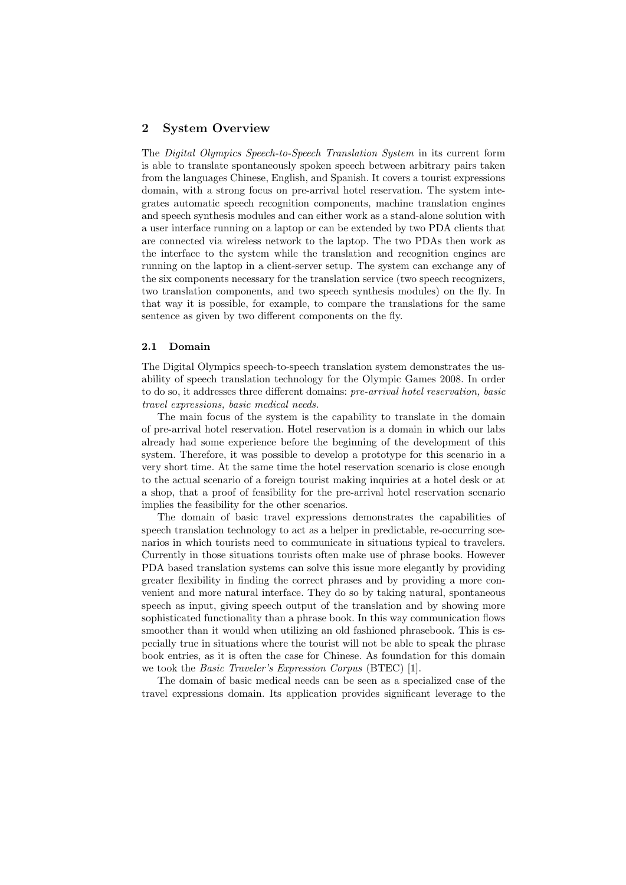## 2 System Overview

The Digital Olympics Speech-to-Speech Translation System in its current form is able to translate spontaneously spoken speech between arbitrary pairs taken from the languages Chinese, English, and Spanish. It covers a tourist expressions domain, with a strong focus on pre-arrival hotel reservation. The system integrates automatic speech recognition components, machine translation engines and speech synthesis modules and can either work as a stand-alone solution with a user interface running on a laptop or can be extended by two PDA clients that are connected via wireless network to the laptop. The two PDAs then work as the interface to the system while the translation and recognition engines are running on the laptop in a client-server setup. The system can exchange any of the six components necessary for the translation service (two speech recognizers, two translation components, and two speech synthesis modules) on the fly. In that way it is possible, for example, to compare the translations for the same sentence as given by two different components on the fly.

### 2.1 Domain

The Digital Olympics speech-to-speech translation system demonstrates the usability of speech translation technology for the Olympic Games 2008. In order to do so, it addresses three different domains: pre-arrival hotel reservation, basic travel expressions, basic medical needs.

The main focus of the system is the capability to translate in the domain of pre-arrival hotel reservation. Hotel reservation is a domain in which our labs already had some experience before the beginning of the development of this system. Therefore, it was possible to develop a prototype for this scenario in a very short time. At the same time the hotel reservation scenario is close enough to the actual scenario of a foreign tourist making inquiries at a hotel desk or at a shop, that a proof of feasibility for the pre-arrival hotel reservation scenario implies the feasibility for the other scenarios.

The domain of basic travel expressions demonstrates the capabilities of speech translation technology to act as a helper in predictable, re-occurring scenarios in which tourists need to communicate in situations typical to travelers. Currently in those situations tourists often make use of phrase books. However PDA based translation systems can solve this issue more elegantly by providing greater flexibility in finding the correct phrases and by providing a more convenient and more natural interface. They do so by taking natural, spontaneous speech as input, giving speech output of the translation and by showing more sophisticated functionality than a phrase book. In this way communication flows smoother than it would when utilizing an old fashioned phrasebook. This is especially true in situations where the tourist will not be able to speak the phrase book entries, as it is often the case for Chinese. As foundation for this domain we took the Basic Traveler's Expression Corpus (BTEC) [1].

The domain of basic medical needs can be seen as a specialized case of the travel expressions domain. Its application provides significant leverage to the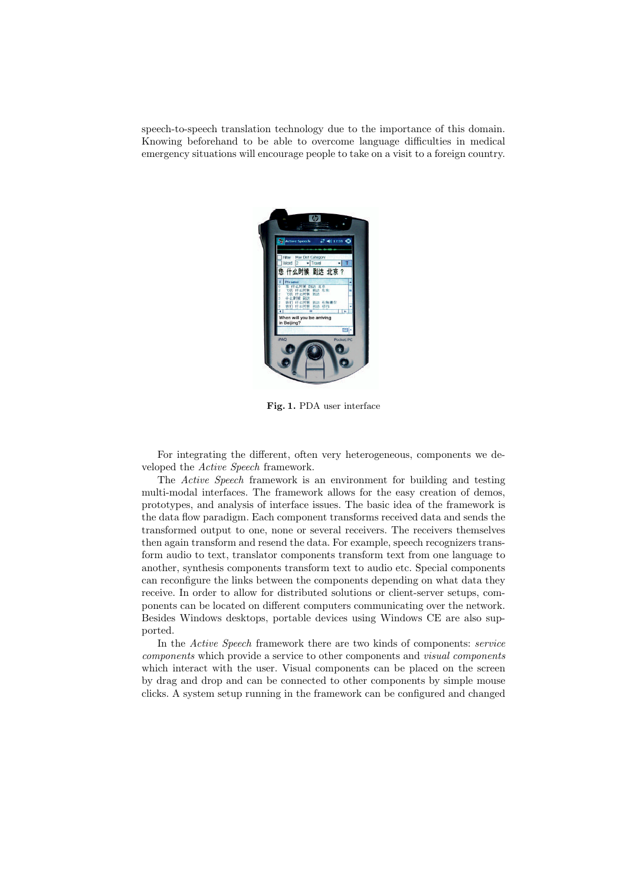speech-to-speech translation technology due to the importance of this domain. Knowing beforehand to be able to overcome language difficulties in medical emergency situations will encourage people to take on a visit to a foreign country.



Fig. 1. PDA user interface

For integrating the different, often very heterogeneous, components we developed the Active Speech framework.

The Active Speech framework is an environment for building and testing multi-modal interfaces. The framework allows for the easy creation of demos, prototypes, and analysis of interface issues. The basic idea of the framework is the data flow paradigm. Each component transforms received data and sends the transformed output to one, none or several receivers. The receivers themselves then again transform and resend the data. For example, speech recognizers transform audio to text, translator components transform text from one language to another, synthesis components transform text to audio etc. Special components can reconfigure the links between the components depending on what data they receive. In order to allow for distributed solutions or client-server setups, components can be located on different computers communicating over the network. Besides Windows desktops, portable devices using Windows CE are also supported.

In the Active Speech framework there are two kinds of components: service components which provide a service to other components and visual components which interact with the user. Visual components can be placed on the screen by drag and drop and can be connected to other components by simple mouse clicks. A system setup running in the framework can be configured and changed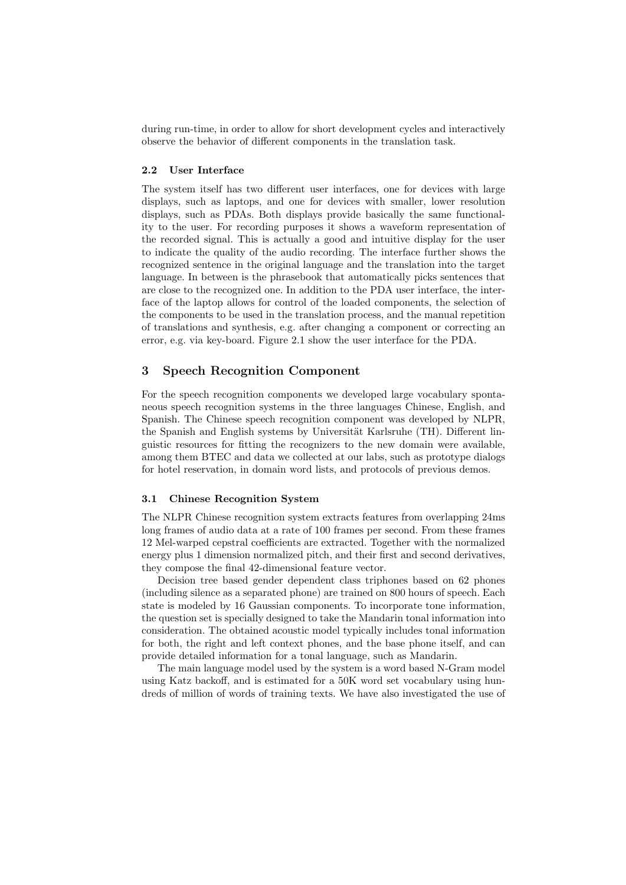during run-time, in order to allow for short development cycles and interactively observe the behavior of different components in the translation task.

#### 2.2 User Interface

The system itself has two different user interfaces, one for devices with large displays, such as laptops, and one for devices with smaller, lower resolution displays, such as PDAs. Both displays provide basically the same functionality to the user. For recording purposes it shows a waveform representation of the recorded signal. This is actually a good and intuitive display for the user to indicate the quality of the audio recording. The interface further shows the recognized sentence in the original language and the translation into the target language. In between is the phrasebook that automatically picks sentences that are close to the recognized one. In addition to the PDA user interface, the interface of the laptop allows for control of the loaded components, the selection of the components to be used in the translation process, and the manual repetition of translations and synthesis, e.g. after changing a component or correcting an error, e.g. via key-board. Figure 2.1 show the user interface for the PDA.

## 3 Speech Recognition Component

For the speech recognition components we developed large vocabulary spontaneous speech recognition systems in the three languages Chinese, English, and Spanish. The Chinese speech recognition component was developed by NLPR, the Spanish and English systems by Universität Karlsruhe (TH). Different linguistic resources for fitting the recognizers to the new domain were available, among them BTEC and data we collected at our labs, such as prototype dialogs for hotel reservation, in domain word lists, and protocols of previous demos.

### 3.1 Chinese Recognition System

The NLPR Chinese recognition system extracts features from overlapping 24ms long frames of audio data at a rate of 100 frames per second. From these frames 12 Mel-warped cepstral coefficients are extracted. Together with the normalized energy plus 1 dimension normalized pitch, and their first and second derivatives, they compose the final 42-dimensional feature vector.

Decision tree based gender dependent class triphones based on 62 phones (including silence as a separated phone) are trained on 800 hours of speech. Each state is modeled by 16 Gaussian components. To incorporate tone information, the question set is specially designed to take the Mandarin tonal information into consideration. The obtained acoustic model typically includes tonal information for both, the right and left context phones, and the base phone itself, and can provide detailed information for a tonal language, such as Mandarin.

The main language model used by the system is a word based N-Gram model using Katz backoff, and is estimated for a 50K word set vocabulary using hundreds of million of words of training texts. We have also investigated the use of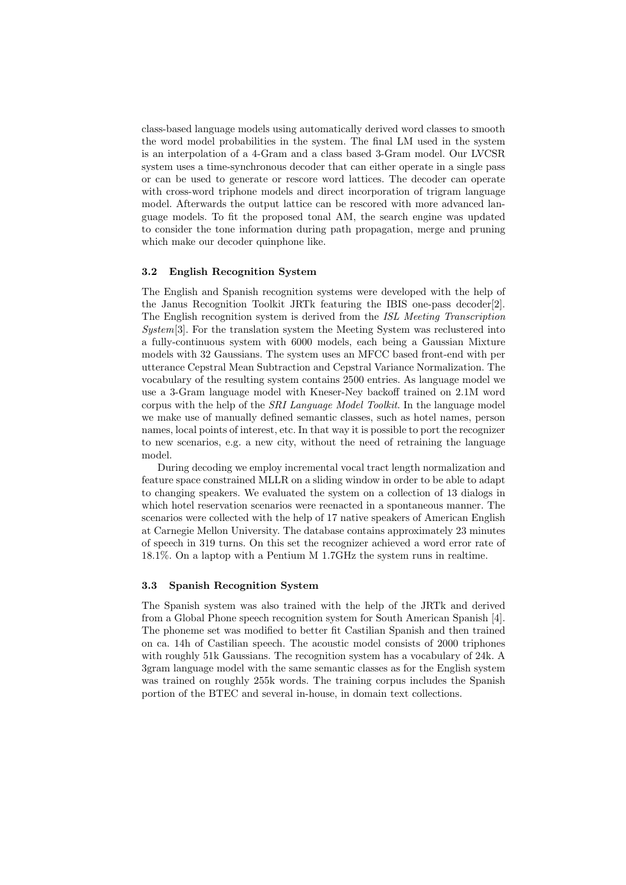class-based language models using automatically derived word classes to smooth the word model probabilities in the system. The final LM used in the system is an interpolation of a 4-Gram and a class based 3-Gram model. Our LVCSR system uses a time-synchronous decoder that can either operate in a single pass or can be used to generate or rescore word lattices. The decoder can operate with cross-word triphone models and direct incorporation of trigram language model. Afterwards the output lattice can be rescored with more advanced language models. To fit the proposed tonal AM, the search engine was updated to consider the tone information during path propagation, merge and pruning which make our decoder quinphone like.

### 3.2 English Recognition System

The English and Spanish recognition systems were developed with the help of the Janus Recognition Toolkit JRTk featuring the IBIS one-pass decoder[2]. The English recognition system is derived from the ISL Meeting Transcription System[3]. For the translation system the Meeting System was reclustered into a fully-continuous system with 6000 models, each being a Gaussian Mixture models with 32 Gaussians. The system uses an MFCC based front-end with per utterance Cepstral Mean Subtraction and Cepstral Variance Normalization. The vocabulary of the resulting system contains 2500 entries. As language model we use a 3-Gram language model with Kneser-Ney backoff trained on 2.1M word corpus with the help of the SRI Language Model Toolkit. In the language model we make use of manually defined semantic classes, such as hotel names, person names, local points of interest, etc. In that way it is possible to port the recognizer to new scenarios, e.g. a new city, without the need of retraining the language model.

During decoding we employ incremental vocal tract length normalization and feature space constrained MLLR on a sliding window in order to be able to adapt to changing speakers. We evaluated the system on a collection of 13 dialogs in which hotel reservation scenarios were reenacted in a spontaneous manner. The scenarios were collected with the help of 17 native speakers of American English at Carnegie Mellon University. The database contains approximately 23 minutes of speech in 319 turns. On this set the recognizer achieved a word error rate of 18.1%. On a laptop with a Pentium M 1.7GHz the system runs in realtime.

### 3.3 Spanish Recognition System

The Spanish system was also trained with the help of the JRTk and derived from a Global Phone speech recognition system for South American Spanish [4]. The phoneme set was modified to better fit Castilian Spanish and then trained on ca. 14h of Castilian speech. The acoustic model consists of 2000 triphones with roughly 51k Gaussians. The recognition system has a vocabulary of 24k. A 3gram language model with the same semantic classes as for the English system was trained on roughly 255k words. The training corpus includes the Spanish portion of the BTEC and several in-house, in domain text collections.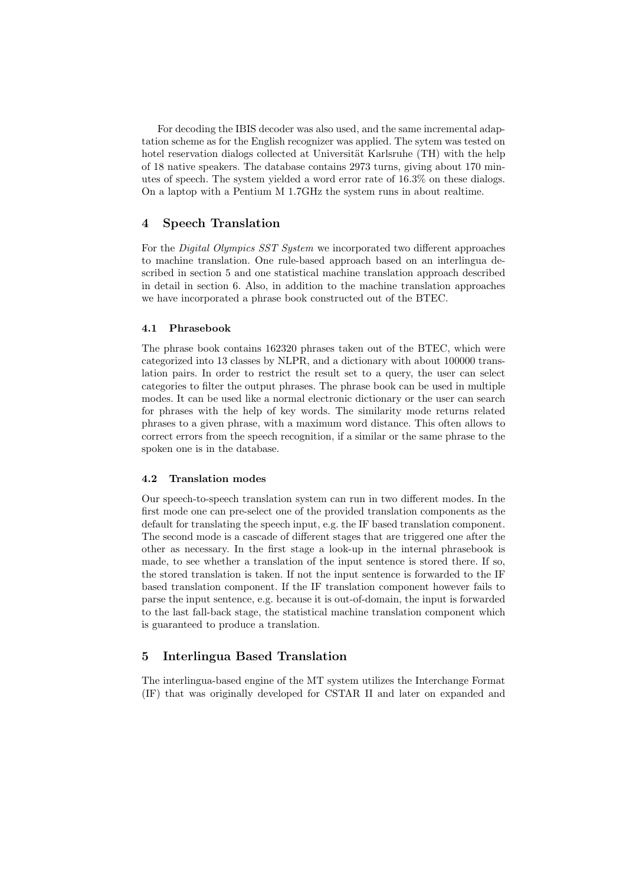For decoding the IBIS decoder was also used, and the same incremental adaptation scheme as for the English recognizer was applied. The sytem was tested on hotel reservation dialogs collected at Universität Karlsruhe (TH) with the help of 18 native speakers. The database contains 2973 turns, giving about 170 minutes of speech. The system yielded a word error rate of 16.3% on these dialogs. On a laptop with a Pentium M 1.7GHz the system runs in about realtime.

# 4 Speech Translation

For the *Digital Olympics SST System* we incorporated two different approaches to machine translation. One rule-based approach based on an interlingua described in section 5 and one statistical machine translation approach described in detail in section 6. Also, in addition to the machine translation approaches we have incorporated a phrase book constructed out of the BTEC.

#### 4.1 Phrasebook

The phrase book contains 162320 phrases taken out of the BTEC, which were categorized into 13 classes by NLPR, and a dictionary with about 100000 translation pairs. In order to restrict the result set to a query, the user can select categories to filter the output phrases. The phrase book can be used in multiple modes. It can be used like a normal electronic dictionary or the user can search for phrases with the help of key words. The similarity mode returns related phrases to a given phrase, with a maximum word distance. This often allows to correct errors from the speech recognition, if a similar or the same phrase to the spoken one is in the database.

#### 4.2 Translation modes

Our speech-to-speech translation system can run in two different modes. In the first mode one can pre-select one of the provided translation components as the default for translating the speech input, e.g. the IF based translation component. The second mode is a cascade of different stages that are triggered one after the other as necessary. In the first stage a look-up in the internal phrasebook is made, to see whether a translation of the input sentence is stored there. If so, the stored translation is taken. If not the input sentence is forwarded to the IF based translation component. If the IF translation component however fails to parse the input sentence, e.g. because it is out-of-domain, the input is forwarded to the last fall-back stage, the statistical machine translation component which is guaranteed to produce a translation.

# 5 Interlingua Based Translation

The interlingua-based engine of the MT system utilizes the Interchange Format (IF) that was originally developed for CSTAR II and later on expanded and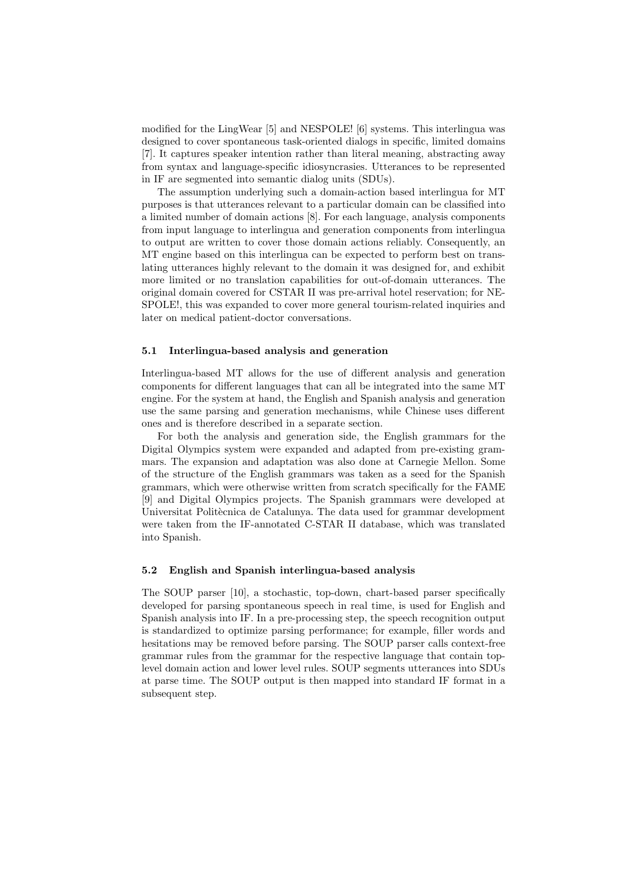modified for the LingWear [5] and NESPOLE! [6] systems. This interlingua was designed to cover spontaneous task-oriented dialogs in specific, limited domains [7]. It captures speaker intention rather than literal meaning, abstracting away from syntax and language-specific idiosyncrasies. Utterances to be represented in IF are segmented into semantic dialog units (SDUs).

The assumption underlying such a domain-action based interlingua for MT purposes is that utterances relevant to a particular domain can be classified into a limited number of domain actions [8]. For each language, analysis components from input language to interlingua and generation components from interlingua to output are written to cover those domain actions reliably. Consequently, an MT engine based on this interlingua can be expected to perform best on translating utterances highly relevant to the domain it was designed for, and exhibit more limited or no translation capabilities for out-of-domain utterances. The original domain covered for CSTAR II was pre-arrival hotel reservation; for NE-SPOLE!, this was expanded to cover more general tourism-related inquiries and later on medical patient-doctor conversations.

### 5.1 Interlingua-based analysis and generation

Interlingua-based MT allows for the use of different analysis and generation components for different languages that can all be integrated into the same MT engine. For the system at hand, the English and Spanish analysis and generation use the same parsing and generation mechanisms, while Chinese uses different ones and is therefore described in a separate section.

For both the analysis and generation side, the English grammars for the Digital Olympics system were expanded and adapted from pre-existing grammars. The expansion and adaptation was also done at Carnegie Mellon. Some of the structure of the English grammars was taken as a seed for the Spanish grammars, which were otherwise written from scratch specifically for the FAME [9] and Digital Olympics projects. The Spanish grammars were developed at Universitat Politècnica de Catalunya. The data used for grammar development were taken from the IF-annotated C-STAR II database, which was translated into Spanish.

### 5.2 English and Spanish interlingua-based analysis

The SOUP parser [10], a stochastic, top-down, chart-based parser specifically developed for parsing spontaneous speech in real time, is used for English and Spanish analysis into IF. In a pre-processing step, the speech recognition output is standardized to optimize parsing performance; for example, filler words and hesitations may be removed before parsing. The SOUP parser calls context-free grammar rules from the grammar for the respective language that contain toplevel domain action and lower level rules. SOUP segments utterances into SDUs at parse time. The SOUP output is then mapped into standard IF format in a subsequent step.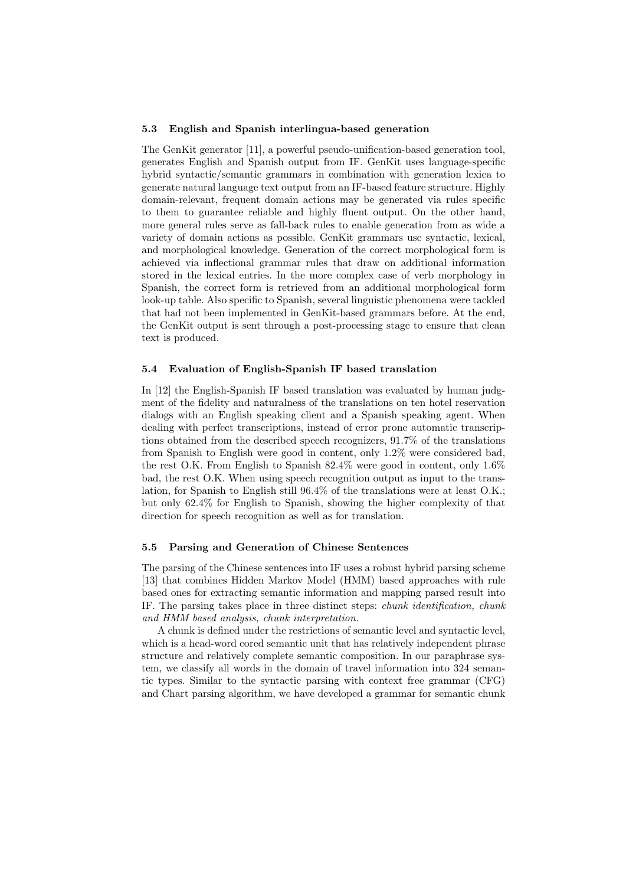#### 5.3 English and Spanish interlingua-based generation

The GenKit generator [11], a powerful pseudo-unification-based generation tool, generates English and Spanish output from IF. GenKit uses language-specific hybrid syntactic/semantic grammars in combination with generation lexica to generate natural language text output from an IF-based feature structure. Highly domain-relevant, frequent domain actions may be generated via rules specific to them to guarantee reliable and highly fluent output. On the other hand, more general rules serve as fall-back rules to enable generation from as wide a variety of domain actions as possible. GenKit grammars use syntactic, lexical, and morphological knowledge. Generation of the correct morphological form is achieved via inflectional grammar rules that draw on additional information stored in the lexical entries. In the more complex case of verb morphology in Spanish, the correct form is retrieved from an additional morphological form look-up table. Also specific to Spanish, several linguistic phenomena were tackled that had not been implemented in GenKit-based grammars before. At the end, the GenKit output is sent through a post-processing stage to ensure that clean text is produced.

#### 5.4 Evaluation of English-Spanish IF based translation

In [12] the English-Spanish IF based translation was evaluated by human judgment of the fidelity and naturalness of the translations on ten hotel reservation dialogs with an English speaking client and a Spanish speaking agent. When dealing with perfect transcriptions, instead of error prone automatic transcriptions obtained from the described speech recognizers, 91.7% of the translations from Spanish to English were good in content, only 1.2% were considered bad, the rest O.K. From English to Spanish 82.4% were good in content, only 1.6% bad, the rest O.K. When using speech recognition output as input to the translation, for Spanish to English still 96.4% of the translations were at least O.K.; but only 62.4% for English to Spanish, showing the higher complexity of that direction for speech recognition as well as for translation.

### 5.5 Parsing and Generation of Chinese Sentences

The parsing of the Chinese sentences into IF uses a robust hybrid parsing scheme [13] that combines Hidden Markov Model (HMM) based approaches with rule based ones for extracting semantic information and mapping parsed result into IF. The parsing takes place in three distinct steps: chunk identification, chunk and HMM based analysis, chunk interpretation.

A chunk is defined under the restrictions of semantic level and syntactic level, which is a head-word cored semantic unit that has relatively independent phrase structure and relatively complete semantic composition. In our paraphrase system, we classify all words in the domain of travel information into 324 semantic types. Similar to the syntactic parsing with context free grammar (CFG) and Chart parsing algorithm, we have developed a grammar for semantic chunk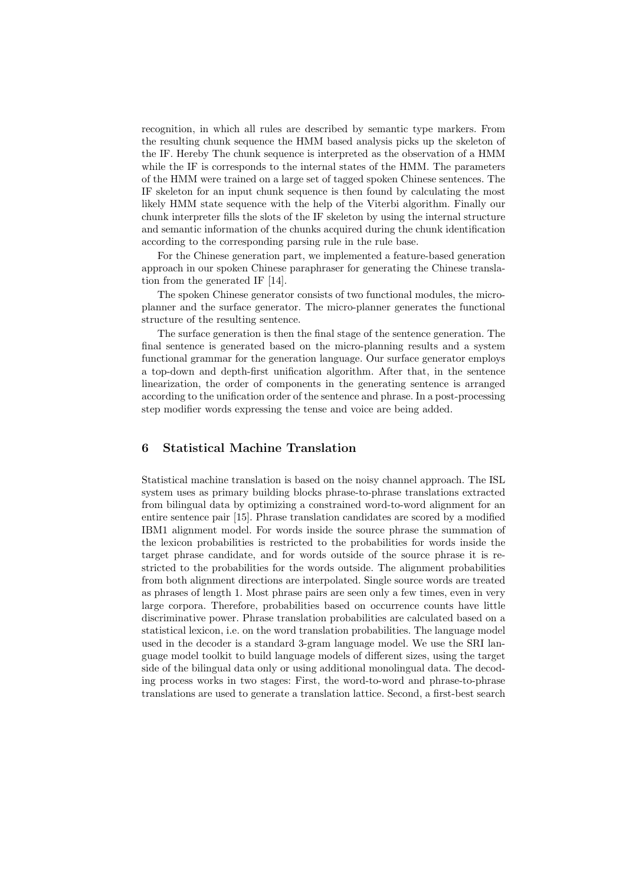recognition, in which all rules are described by semantic type markers. From the resulting chunk sequence the HMM based analysis picks up the skeleton of the IF. Hereby The chunk sequence is interpreted as the observation of a HMM while the IF is corresponds to the internal states of the HMM. The parameters of the HMM were trained on a large set of tagged spoken Chinese sentences. The IF skeleton for an input chunk sequence is then found by calculating the most likely HMM state sequence with the help of the Viterbi algorithm. Finally our chunk interpreter fills the slots of the IF skeleton by using the internal structure and semantic information of the chunks acquired during the chunk identification according to the corresponding parsing rule in the rule base.

For the Chinese generation part, we implemented a feature-based generation approach in our spoken Chinese paraphraser for generating the Chinese translation from the generated IF [14].

The spoken Chinese generator consists of two functional modules, the microplanner and the surface generator. The micro-planner generates the functional structure of the resulting sentence.

The surface generation is then the final stage of the sentence generation. The final sentence is generated based on the micro-planning results and a system functional grammar for the generation language. Our surface generator employs a top-down and depth-first unification algorithm. After that, in the sentence linearization, the order of components in the generating sentence is arranged according to the unification order of the sentence and phrase. In a post-processing step modifier words expressing the tense and voice are being added.

# 6 Statistical Machine Translation

Statistical machine translation is based on the noisy channel approach. The ISL system uses as primary building blocks phrase-to-phrase translations extracted from bilingual data by optimizing a constrained word-to-word alignment for an entire sentence pair [15]. Phrase translation candidates are scored by a modified IBM1 alignment model. For words inside the source phrase the summation of the lexicon probabilities is restricted to the probabilities for words inside the target phrase candidate, and for words outside of the source phrase it is restricted to the probabilities for the words outside. The alignment probabilities from both alignment directions are interpolated. Single source words are treated as phrases of length 1. Most phrase pairs are seen only a few times, even in very large corpora. Therefore, probabilities based on occurrence counts have little discriminative power. Phrase translation probabilities are calculated based on a statistical lexicon, i.e. on the word translation probabilities. The language model used in the decoder is a standard 3-gram language model. We use the SRI language model toolkit to build language models of different sizes, using the target side of the bilingual data only or using additional monolingual data. The decoding process works in two stages: First, the word-to-word and phrase-to-phrase translations are used to generate a translation lattice. Second, a first-best search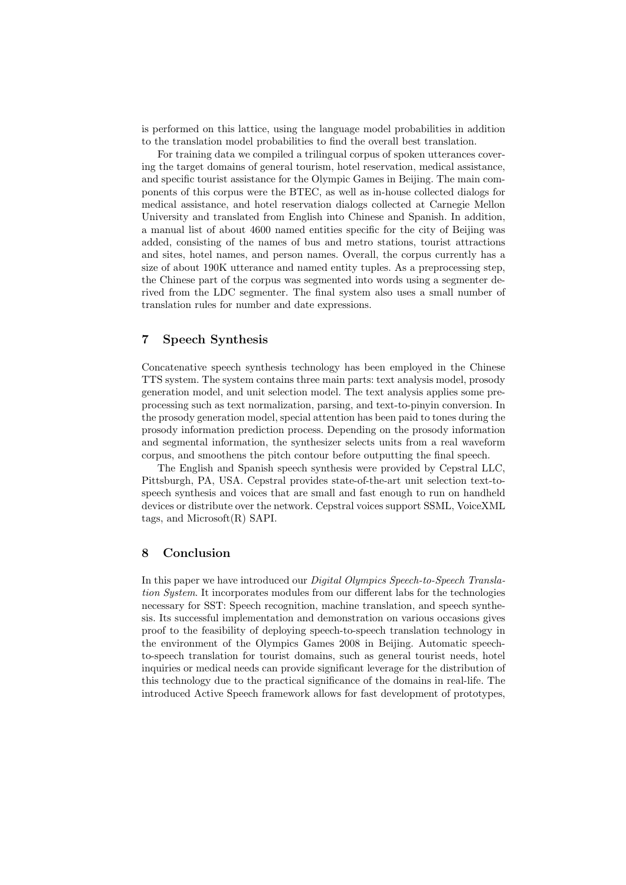is performed on this lattice, using the language model probabilities in addition to the translation model probabilities to find the overall best translation.

For training data we compiled a trilingual corpus of spoken utterances covering the target domains of general tourism, hotel reservation, medical assistance, and specific tourist assistance for the Olympic Games in Beijing. The main components of this corpus were the BTEC, as well as in-house collected dialogs for medical assistance, and hotel reservation dialogs collected at Carnegie Mellon University and translated from English into Chinese and Spanish. In addition, a manual list of about 4600 named entities specific for the city of Beijing was added, consisting of the names of bus and metro stations, tourist attractions and sites, hotel names, and person names. Overall, the corpus currently has a size of about 190K utterance and named entity tuples. As a preprocessing step, the Chinese part of the corpus was segmented into words using a segmenter derived from the LDC segmenter. The final system also uses a small number of translation rules for number and date expressions.

# 7 Speech Synthesis

Concatenative speech synthesis technology has been employed in the Chinese TTS system. The system contains three main parts: text analysis model, prosody generation model, and unit selection model. The text analysis applies some preprocessing such as text normalization, parsing, and text-to-pinyin conversion. In the prosody generation model, special attention has been paid to tones during the prosody information prediction process. Depending on the prosody information and segmental information, the synthesizer selects units from a real waveform corpus, and smoothens the pitch contour before outputting the final speech.

The English and Spanish speech synthesis were provided by Cepstral LLC, Pittsburgh, PA, USA. Cepstral provides state-of-the-art unit selection text-tospeech synthesis and voices that are small and fast enough to run on handheld devices or distribute over the network. Cepstral voices support SSML, VoiceXML tags, and Microsoft(R) SAPI.

# 8 Conclusion

In this paper we have introduced our Digital Olympics Speech-to-Speech Translation System. It incorporates modules from our different labs for the technologies necessary for SST: Speech recognition, machine translation, and speech synthesis. Its successful implementation and demonstration on various occasions gives proof to the feasibility of deploying speech-to-speech translation technology in the environment of the Olympics Games 2008 in Beijing. Automatic speechto-speech translation for tourist domains, such as general tourist needs, hotel inquiries or medical needs can provide significant leverage for the distribution of this technology due to the practical significance of the domains in real-life. The introduced Active Speech framework allows for fast development of prototypes,